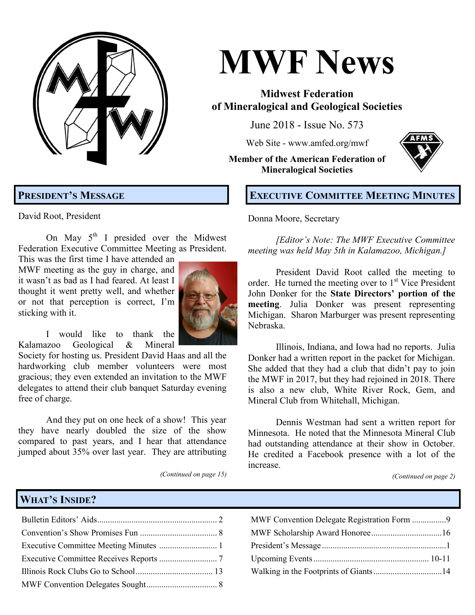

# **MWF News**

# **Midwest Federation of Mineralogical and Geological Societies**

June 2018 - Issue No. 573

Web Site - [www.amfed.org/mwf](http://www.amfed.org/mwf)

**Member of the American Federation of Mineralogical Societies**



# **EXECUTIVE COMMITTEE MEETING MINUTES**

David Root, President

**PRESIDENT'S MESSAGE**

On May  $5<sup>th</sup>$  I presided over the Midwest Federation Executive Committee Meeting as President.

This was the first time I have attended an MWF meeting as the guy in charge, and it wasn't as bad as I had feared. At least I thought it went pretty well, and whether or not that perception is correct, I'm sticking with it.



I would like to thank the Kalamazoo Geological & Mineral

Society for hosting us. President David Haas and all the hardworking club member volunteers were most gracious; they even extended an invitation to the MWF delegates to attend their club banquet Saturday evening free of charge.

And they put on one heck of a show! This year they have nearly doubled the size of the show compared to past years, and I hear that attendance jumped about 35% over last year. They are attributing

*(Continued on page 15)*

# Donna Moore, Secretary

*[Editor's Note: The MWF Executive Committee meeting was held May 5th in Kalamazoo, Michigan.]*

President David Root called the meeting to order. He turned the meeting over to  $1<sup>st</sup>$  Vice President John Donker for the **State Directors' portion of the meeting**. Julia Donker was present representing Michigan. Sharon Marburger was present representing Nebraska.

Illinois, Indiana, and Iowa had no reports. Julia Donker had a written report in the packet for Michigan. She added that they had a club that didn't pay to join the MWF in 2017, but they had rejoined in 2018. There is also a new club, White River Rock, Gem, and Mineral Club from Whitehall, Michigan.

Dennis Westman had sent a written report for Minnesota. He noted that the Minnesota Mineral Club had outstanding attendance at their show in October. He credited a Facebook presence with a lot of the increase.

*(Continued on page 2)*

# **WHAT'S INSIDE?**

| MWF Convention Delegate Registration Form 9 |  |
|---------------------------------------------|--|
|                                             |  |
|                                             |  |
|                                             |  |
|                                             |  |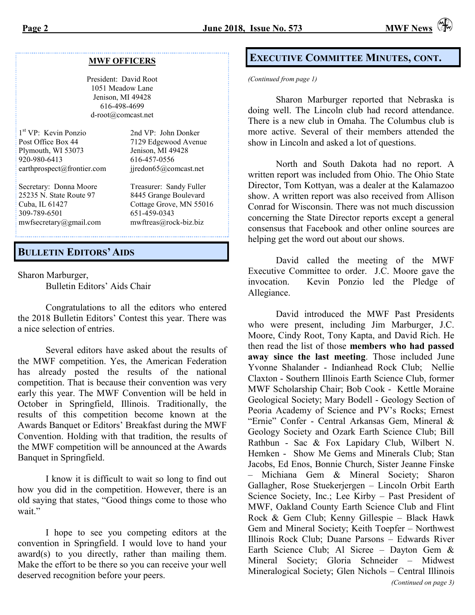#### **MWF OFFICERS**

President: David Root 1051 Meadow Lane Jenison, MI 49428 616-498-4699 d-root@comcast.net

| 1 <sup>st</sup> VP: Kevin Ponzio | 2nd VP: John Donker     |
|----------------------------------|-------------------------|
| Post Office Box 44               | 7129 Edgewood Avenue    |
| Plymouth, WI 53073               | Jenison, MI 49428       |
| 920-980-6413                     | 616-457-0556            |
| earthprospect@frontier.com       | jjredon65@comcast.net   |
| Secretary: Donna Moore           | Treasurer: Sandy Fuller |
| 25235 N. State Route 97          | 8445 Grange Boulevard   |
| Cuba, IL 61427                   | Cottage Grove, MN 55016 |
| 309-789-6501                     | 651-459-0343            |
| mwfsecretary@gmail.com           | mwftreas@rock-biz.biz   |

## **BULLETIN EDITORS' AIDS**

Sharon Marburger, Bulletin Editors' Aids Chair

Congratulations to all the editors who entered the 2018 Bulletin Editors' Contest this year. There was a nice selection of entries.

Several editors have asked about the results of the MWF competition. Yes, the American Federation has already posted the results of the national competition. That is because their convention was very early this year. The MWF Convention will be held in October in Springfield, Illinois. Traditionally, the results of this competition become known at the Awards Banquet or Editors' Breakfast during the MWF Convention. Holding with that tradition, the results of the MWF competition will be announced at the Awards Banquet in Springfield.

I know it is difficult to wait so long to find out how you did in the competition. However, there is an old saying that states, "Good things come to those who wait."

I hope to see you competing editors at the convention in Springfield. I would love to hand your award(s) to you directly, rather than mailing them. Make the effort to be there so you can receive your well deserved recognition before your peers.

## **EXECUTIVE COMMITTEE MINUTES, CONT.**

*(Continued from page 1)*

Sharon Marburger reported that Nebraska is doing well. The Lincoln club had record attendance. There is a new club in Omaha. The Columbus club is more active. Several of their members attended the show in Lincoln and asked a lot of questions.

North and South Dakota had no report. A written report was included from Ohio. The Ohio State Director, Tom Kottyan, was a dealer at the Kalamazoo show. A written report was also received from Allison Conrad for Wisconsin. There was not much discussion concerning the State Director reports except a general consensus that Facebook and other online sources are helping get the word out about our shows.

David called the meeting of the MWF Executive Committee to order. J.C. Moore gave the invocation. Kevin Ponzio led the Pledge of Allegiance.

David introduced the MWF Past Presidents who were present, including Jim Marburger, J.C. Moore, Cindy Root, Tony Kapta, and David Rich. He then read the list of those **members who had passed away since the last meeting**. Those included June Yvonne Shalander - Indianhead Rock Club; Nellie Claxton - Southern Illinois Earth Science Club, former MWF Scholarship Chair; Bob Cook - Kettle Moraine Geological Society; Mary Bodell - Geology Section of Peoria Academy of Science and PV's Rocks; Ernest "Ernie" Confer - Central Arkansas Gem, Mineral & Geology Society and Ozark Earth Science Club; Bill Rathbun - Sac & Fox Lapidary Club, Wilbert N. Hemken - Show Me Gems and Minerals Club; Stan Jacobs, Ed Enos, Bonnie Church, Sister Jeanne Finske – Michiana Gem & Mineral Society; Sharon Gallagher, Rose Stuekerjergen – Lincoln Orbit Earth Science Society, Inc.; Lee Kirby – Past President of MWF, Oakland County Earth Science Club and Flint Rock & Gem Club; Kenny Gillespie – Black Hawk Gem and Mineral Society; Keith Toepfer – Northwest Illinois Rock Club; Duane Parsons – Edwards River Earth Science Club; Al Sicree – Dayton Gem & Mineral Society; Gloria Schneider – Midwest Mineralogical Society; Glen Nichols – Central Illinois *(Continued on page 3)*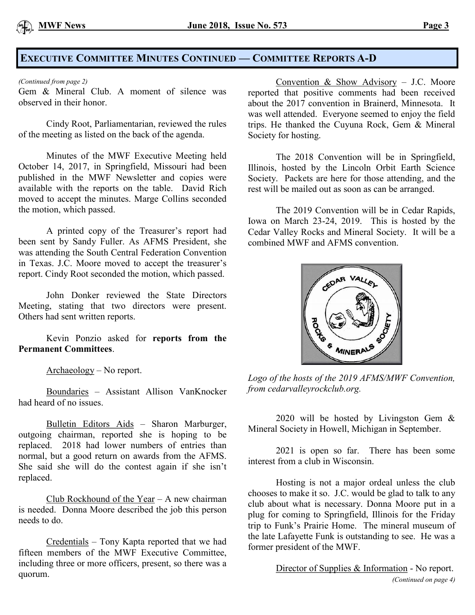

# **EXECUTIVE COMMITTEE MINUTES CONTINUED — COMMITTEE REPORTS A-D**

#### *(Continued from page 2)*

Gem & Mineral Club. A moment of silence was observed in their honor.

Cindy Root, Parliamentarian, reviewed the rules of the meeting as listed on the back of the agenda.

Minutes of the MWF Executive Meeting held October 14, 2017, in Springfield, Missouri had been published in the MWF Newsletter and copies were available with the reports on the table. David Rich moved to accept the minutes. Marge Collins seconded the motion, which passed.

A printed copy of the Treasurer's report had been sent by Sandy Fuller. As AFMS President, she was attending the South Central Federation Convention in Texas. J.C. Moore moved to accept the treasurer's report. Cindy Root seconded the motion, which passed.

John Donker reviewed the State Directors Meeting, stating that two directors were present. Others had sent written reports.

Kevin Ponzio asked for **reports from the Permanent Committees**.

Archaeology – No report.

Boundaries – Assistant Allison VanKnocker had heard of no issues.

Bulletin Editors Aids – Sharon Marburger, outgoing chairman, reported she is hoping to be replaced. 2018 had lower numbers of entries than normal, but a good return on awards from the AFMS. She said she will do the contest again if she isn't replaced.

Club Rockhound of the Year – A new chairman is needed. Donna Moore described the job this person needs to do.

Credentials – Tony Kapta reported that we had fifteen members of the MWF Executive Committee, including three or more officers, present, so there was a quorum.

Convention & Show Advisory – J.C. Moore reported that positive comments had been received about the 2017 convention in Brainerd, Minnesota. It was well attended. Everyone seemed to enjoy the field trips. He thanked the Cuyuna Rock, Gem & Mineral Society for hosting.

The 2018 Convention will be in Springfield, Illinois, hosted by the Lincoln Orbit Earth Science Society. Packets are here for those attending, and the rest will be mailed out as soon as can be arranged.

The 2019 Convention will be in Cedar Rapids, Iowa on March 23-24, 2019. This is hosted by the Cedar Valley Rocks and Mineral Society. It will be a combined MWF and AFMS convention.



*Logo of the hosts of the 2019 AFMS/MWF Convention, from cedarvalleyrockclub.org.*

2020 will be hosted by Livingston Gem & Mineral Society in Howell, Michigan in September.

2021 is open so far. There has been some interest from a club in Wisconsin.

Hosting is not a major ordeal unless the club chooses to make it so. J.C. would be glad to talk to any club about what is necessary. Donna Moore put in a plug for coming to Springfield, Illinois for the Friday trip to Funk's Prairie Home. The mineral museum of the late Lafayette Funk is outstanding to see. He was a former president of the MWF.

> Director of Supplies & Information - No report. *(Continued on page 4)*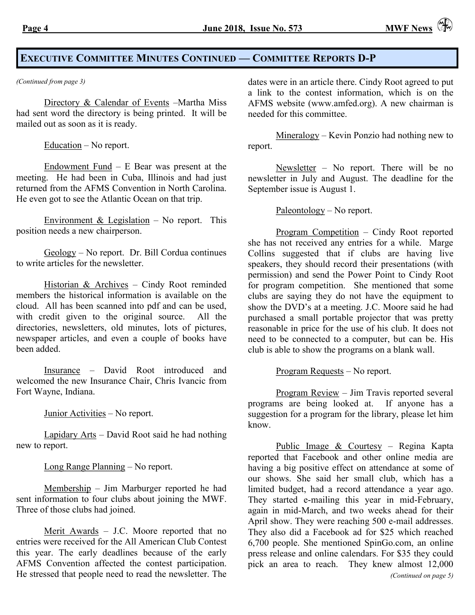# **EXECUTIVE COMMITTEE MINUTES CONTINUED — COMMITTEE REPORTS D-P**

Directory & Calendar of Events -Martha Miss had sent word the directory is being printed. It will be mailed out as soon as it is ready.

Education – No report.

Endowment Fund – E Bear was present at the meeting. He had been in Cuba, Illinois and had just returned from the AFMS Convention in North Carolina. He even got to see the Atlantic Ocean on that trip.

Environment & Legislation – No report. This position needs a new chairperson.

Geology – No report. Dr. Bill Cordua continues to write articles for the newsletter.

Historian & Archives – Cindy Root reminded members the historical information is available on the cloud. All has been scanned into pdf and can be used, with credit given to the original source. All the directories, newsletters, old minutes, lots of pictures, newspaper articles, and even a couple of books have been added.

Insurance – David Root introduced and welcomed the new Insurance Chair, Chris Ivancic from Fort Wayne, Indiana.

Junior Activities – No report.

Lapidary Arts – David Root said he had nothing new to report.

Long Range Planning – No report.

Membership – Jim Marburger reported he had sent information to four clubs about joining the MWF. Three of those clubs had joined.

Merit Awards – J.C. Moore reported that no entries were received for the All American Club Contest this year. The early deadlines because of the early AFMS Convention affected the contest participation. He stressed that people need to read the newsletter. The

*(Continued from page 3)* dates were in an article there. Cindy Root agreed to put a link to the contest information, which is on the AFMS website [\(www.amfed.org\)](http://www.amfed.org). A new chairman is needed for this committee.

> Mineralogy – Kevin Ponzio had nothing new to report.

> Newsletter – No report. There will be no newsletter in July and August. The deadline for the September issue is August 1.

> > Paleontology – No report.

Program Competition – Cindy Root reported she has not received any entries for a while. Marge Collins suggested that if clubs are having live speakers, they should record their presentations (with permission) and send the Power Point to Cindy Root for program competition. She mentioned that some clubs are saying they do not have the equipment to show the DVD's at a meeting. J.C. Moore said he had purchased a small portable projector that was pretty reasonable in price for the use of his club. It does not need to be connected to a computer, but can be. His club is able to show the programs on a blank wall.

Program Requests – No report.

Program Review – Jim Travis reported several programs are being looked at. If anyone has a suggestion for a program for the library, please let him know.

Public Image & Courtesy - Regina Kapta reported that Facebook and other online media are having a big positive effect on attendance at some of our shows. She said her small club, which has a limited budget, had a record attendance a year ago. They started e-mailing this year in mid-February, again in mid-March, and two weeks ahead for their April show. They were reaching 500 e-mail addresses. They also did a Facebook ad for \$25 which reached 6,700 people. She mentioned SpinGo.com, an online press release and online calendars. For \$35 they could pick an area to reach. They knew almost 12,000 *(Continued on page 5)*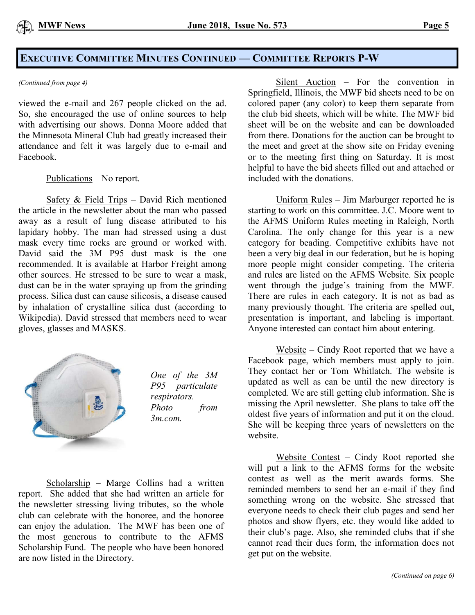# **EXECUTIVE COMMITTEE MINUTES CONTINUED — COMMITTEE REPORTS P-W**

#### *(Continued from page 4)*

viewed the e-mail and 267 people clicked on the ad. So, she encouraged the use of online sources to help with advertising our shows. Donna Moore added that the Minnesota Mineral Club had greatly increased their attendance and felt it was largely due to e-mail and Facebook.

#### Publications – No report.

Safety & Field Trips – David Rich mentioned the article in the newsletter about the man who passed away as a result of lung disease attributed to his lapidary hobby. The man had stressed using a dust mask every time rocks are ground or worked with. David said the 3M P95 dust mask is the one recommended. It is available at Harbor Freight among other sources. He stressed to be sure to wear a mask, dust can be in the water spraying up from the grinding process. Silica dust can cause silicosis, a disease caused by inhalation of crystalline silica dust (according to Wikipedia). David stressed that members need to wear gloves, glasses and MASKS.



*One of the 3M P95 particulate respirators. Photo from 3m.com.*

Scholarship – Marge Collins had a written report. She added that she had written an article for the newsletter stressing living tributes, so the whole club can celebrate with the honoree, and the honoree can enjoy the adulation. The MWF has been one of the most generous to contribute to the AFMS Scholarship Fund. The people who have been honored are now listed in the Directory.

Silent Auction – For the convention in Springfield, Illinois, the MWF bid sheets need to be on colored paper (any color) to keep them separate from the club bid sheets, which will be white. The MWF bid sheet will be on the website and can be downloaded from there. Donations for the auction can be brought to the meet and greet at the show site on Friday evening or to the meeting first thing on Saturday. It is most helpful to have the bid sheets filled out and attached or included with the donations.

Uniform Rules – Jim Marburger reported he is starting to work on this committee. J.C. Moore went to the AFMS Uniform Rules meeting in Raleigh, North Carolina. The only change for this year is a new category for beading. Competitive exhibits have not been a very big deal in our federation, but he is hoping more people might consider competing. The criteria and rules are listed on the AFMS Website. Six people went through the judge's training from the MWF. There are rules in each category. It is not as bad as many previously thought. The criteria are spelled out, presentation is important, and labeling is important. Anyone interested can contact him about entering.

Website – Cindy Root reported that we have a Facebook page, which members must apply to join. They contact her or Tom Whitlatch. The website is updated as well as can be until the new directory is completed. We are still getting club information. She is missing the April newsletter. She plans to take off the oldest five years of information and put it on the cloud. She will be keeping three years of newsletters on the website.

Website Contest – Cindy Root reported she will put a link to the AFMS forms for the website contest as well as the merit awards forms. She reminded members to send her an e-mail if they find something wrong on the website. She stressed that everyone needs to check their club pages and send her photos and show flyers, etc. they would like added to their club's page. Also, she reminded clubs that if she cannot read their dues form, the information does not get put on the website.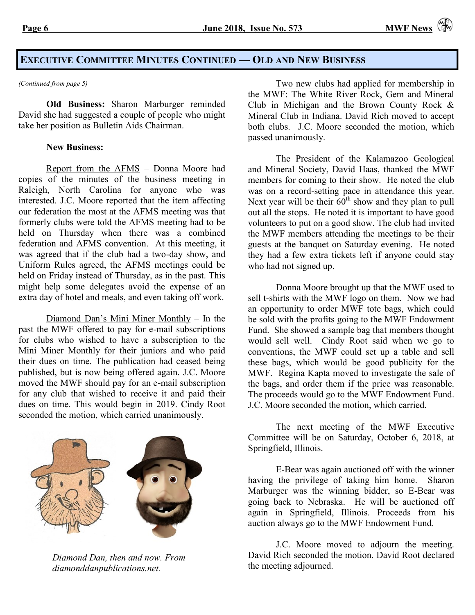## **EXECUTIVE COMMITTEE MINUTES CONTINUED — OLD AND NEW BUSINESS**

**Old Business:** Sharon Marburger reminded David she had suggested a couple of people who might take her position as Bulletin Aids Chairman.

#### **New Business:**

Report from the AFMS – Donna Moore had copies of the minutes of the business meeting in Raleigh, North Carolina for anyone who was interested. J.C. Moore reported that the item affecting our federation the most at the AFMS meeting was that formerly clubs were told the AFMS meeting had to be held on Thursday when there was a combined federation and AFMS convention. At this meeting, it was agreed that if the club had a two-day show, and Uniform Rules agreed, the AFMS meetings could be held on Friday instead of Thursday, as in the past. This might help some delegates avoid the expense of an extra day of hotel and meals, and even taking off work.

Diamond Dan's Mini Miner Monthly – In the past the MWF offered to pay for e-mail subscriptions for clubs who wished to have a subscription to the Mini Miner Monthly for their juniors and who paid their dues on time. The publication had ceased being published, but is now being offered again. J.C. Moore moved the MWF should pay for an e-mail subscription for any club that wished to receive it and paid their dues on time. This would begin in 2019. Cindy Root seconded the motion, which carried unanimously.



*Diamond Dan, then and now. From diamonddanpublications.net.*

*(Continued from page 5)* Two new clubs had applied for membership in the MWF: The White River Rock, Gem and Mineral Club in Michigan and the Brown County Rock & Mineral Club in Indiana. David Rich moved to accept both clubs. J.C. Moore seconded the motion, which passed unanimously.

> The President of the Kalamazoo Geological and Mineral Society, David Haas, thanked the MWF members for coming to their show. He noted the club was on a record-setting pace in attendance this year. Next year will be their  $60^{th}$  show and they plan to pull out all the stops. He noted it is important to have good volunteers to put on a good show. The club had invited the MWF members attending the meetings to be their guests at the banquet on Saturday evening. He noted they had a few extra tickets left if anyone could stay who had not signed up.

> Donna Moore brought up that the MWF used to sell t-shirts with the MWF logo on them. Now we had an opportunity to order MWF tote bags, which could be sold with the profits going to the MWF Endowment Fund. She showed a sample bag that members thought would sell well. Cindy Root said when we go to conventions, the MWF could set up a table and sell these bags, which would be good publicity for the MWF. Regina Kapta moved to investigate the sale of the bags, and order them if the price was reasonable. The proceeds would go to the MWF Endowment Fund. J.C. Moore seconded the motion, which carried.

> The next meeting of the MWF Executive Committee will be on Saturday, October 6, 2018, at Springfield, Illinois.

> E-Bear was again auctioned off with the winner having the privilege of taking him home. Sharon Marburger was the winning bidder, so E-Bear was going back to Nebraska. He will be auctioned off again in Springfield, Illinois. Proceeds from his auction always go to the MWF Endowment Fund.

> J.C. Moore moved to adjourn the meeting. David Rich seconded the motion. David Root declared the meeting adjourned.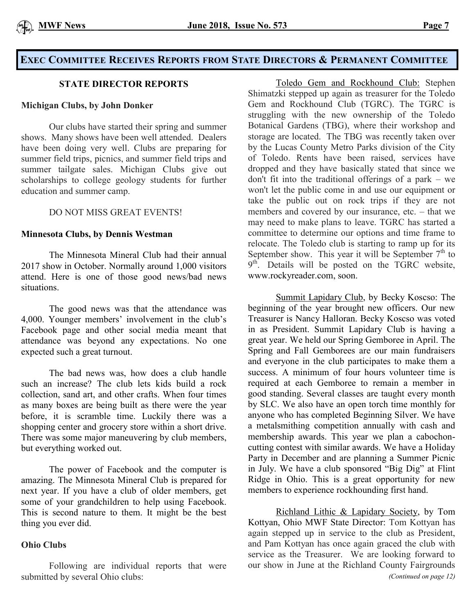# **EXEC COMMITTEE RECEIVES REPORTS FROM STATE DIRECTORS & PERMANENT COMMITTEE**

## **STATE DIRECTOR REPORTS**

#### **Michigan Clubs, by John Donker**

Our clubs have started their spring and summer shows. Many shows have been well attended. Dealers have been doing very well. Clubs are preparing for summer field trips, picnics, and summer field trips and summer tailgate sales. Michigan Clubs give out scholarships to college geology students for further education and summer camp.

## DO NOT MISS GREAT EVENTS!

#### **Minnesota Clubs, by Dennis Westman**

The Minnesota Mineral Club had their annual 2017 show in October. Normally around 1,000 visitors attend. Here is one of those good news/bad news situations.

The good news was that the attendance was 4,000. Younger members' involvement in the club's Facebook page and other social media meant that attendance was beyond any expectations. No one expected such a great turnout.

The bad news was, how does a club handle such an increase? The club lets kids build a rock collection, sand art, and other crafts. When four times as many boxes are being built as there were the year before, it is scramble time. Luckily there was a shopping center and grocery store within a short drive. There was some major maneuvering by club members, but everything worked out.

The power of Facebook and the computer is amazing. The Minnesota Mineral Club is prepared for next year. If you have a club of older members, get some of your grandchildren to help using Facebook. This is second nature to them. It might be the best thing you ever did.

#### **Ohio Clubs**

Following are individual reports that were submitted by several Ohio clubs:

Toledo Gem and Rockhound Club: Stephen Shimatzki stepped up again as treasurer for the Toledo Gem and Rockhound Club (TGRC). The TGRC is struggling with the new ownership of the Toledo Botanical Gardens (TBG), where their workshop and storage are located. The TBG was recently taken over by the Lucas County Metro Parks division of the City of Toledo. Rents have been raised, services have dropped and they have basically stated that since we don't fit into the traditional offerings of a park – we won't let the public come in and use our equipment or take the public out on rock trips if they are not members and covered by our insurance, etc. – that we may need to make plans to leave. TGRC has started a committee to determine our options and time frame to relocate. The Toledo club is starting to ramp up for its September show. This year it will be September  $7<sup>th</sup>$  to 9<sup>th</sup>. Details will be posted on the TGRC website, [www.rockyreader.com,](http://www.rockyreader.com/) soon.

Summit Lapidary Club, by Becky Koscso: The beginning of the year brought new officers. Our new Treasurer is Nancy Halloran. Becky Koscso was voted in as President. Summit Lapidary Club is having a great year. We held our Spring Gemboree in April. The Spring and Fall Gemborees are our main fundraisers and everyone in the club participates to make them a success. A minimum of four hours volunteer time is required at each Gemboree to remain a member in good standing. Several classes are taught every month by SLC. We also have an open torch time monthly for anyone who has completed Beginning Silver. We have a metalsmithing competition annually with cash and membership awards. This year we plan a cabochoncutting contest with similar awards. We have a Holiday Party in December and are planning a Summer Picnic in July. We have a club sponsored "Big Dig" at Flint Ridge in Ohio. This is a great opportunity for new members to experience rockhounding first hand.

Richland Lithic & Lapidary Society, by Tom Kottyan, Ohio MWF State Director: Tom Kottyan has again stepped up in service to the club as President, and Pam Kottyan has once again graced the club with service as the Treasurer. We are looking forward to our show in June at the Richland County Fairgrounds *(Continued on page 12)*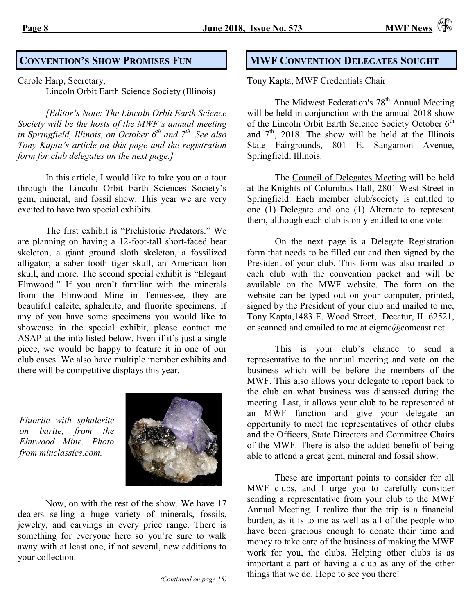Carole Harp, Secretary,

Lincoln Orbit Earth Science Society (Illinois)

*[Editor's Note: The Lincoln Orbit Earth Science Society will be the hosts of the MWF's annual meeting in Springfield, Illinois, on October 6th and 7th. See also Tony Kapta's article on this page and the registration form for club delegates on the next page.]*

In this article, I would like to take you on a tour through the Lincoln Orbit Earth Sciences Society's gem, mineral, and fossil show. This year we are very excited to have two special exhibits.

The first exhibit is "Prehistoric Predators." We are planning on having a 12-foot-tall short-faced bear skeleton, a giant ground sloth skeleton, a fossilized alligator, a saber tooth tiger skull, an American lion skull, and more. The second special exhibit is "Elegant Elmwood." If you aren't familiar with the minerals from the Elmwood Mine in Tennessee, they are beautiful calcite, sphalerite, and fluorite specimens. If any of you have some specimens you would like to showcase in the special exhibit, please contact me ASAP at the info listed below. Even if it's just a single piece, we would be happy to feature it in one of our club cases. We also have multiple member exhibits and there will be competitive displays this year.

*Fluorite with sphalerite on barite, from the Elmwood Mine. Photo from minclassics.com.*



Now, on with the rest of the show. We have 17 dealers selling a huge variety of minerals, fossils, jewelry, and carvings in every price range. There is something for everyone here so you're sure to walk away with at least one, if not several, new additions to your collection.

# **CONVENTION'S SHOW PROMISES FUN MWF CONVENTION DELEGATES SOUGHT**

Tony Kapta, MWF Credentials Chair

The Midwest Federation's 78<sup>th</sup> Annual Meeting will be held in conjunction with the annual 2018 show of the Lincoln Orbit Earth Science Society October 6<sup>th</sup> and  $7<sup>th</sup>$ , 2018. The show will be held at the Illinois State Fairgrounds, 801 E. Sangamon Avenue, Springfield, Illinois.

The Council of Delegates Meeting will be held at the Knights of Columbus Hall, 2801 West Street in Springfield. Each member club/society is entitled to one (1) Delegate and one (1) Alternate to represent them, although each club is only entitled to one vote.

On the next page is a Delegate Registration form that needs to be filled out and then signed by the President of your club. This form was also mailed to each club with the convention packet and will be available on the MWF website. The form on the website can be typed out on your computer, printed, signed by the President of your club and mailed to me, Tony Kapta,1483 E. Wood Street, Decatur, IL 62521, or scanned and emailed to me at [cigmc@comcast.net.](mailto:cigmc@comcast.net)

This is your club's chance to send a representative to the annual meeting and vote on the business which will be before the members of the MWF. This also allows your delegate to report back to the club on what business was discussed during the meeting. Last, it allows your club to be represented at an MWF function and give your delegate an opportunity to meet the representatives of other clubs and the Officers, State Directors and Committee Chairs of the MWF. There is also the added benefit of being able to attend a great gem, mineral and fossil show.

These are important points to consider for all MWF clubs, and I urge you to carefully consider sending a representative from your club to the MWF Annual Meeting. I realize that the trip is a financial burden, as it is to me as well as all of the people who have been gracious enough to donate their time and money to take care of the business of making the MWF work for you, the clubs. Helping other clubs is as important a part of having a club as any of the other things that we do. Hope to see you there!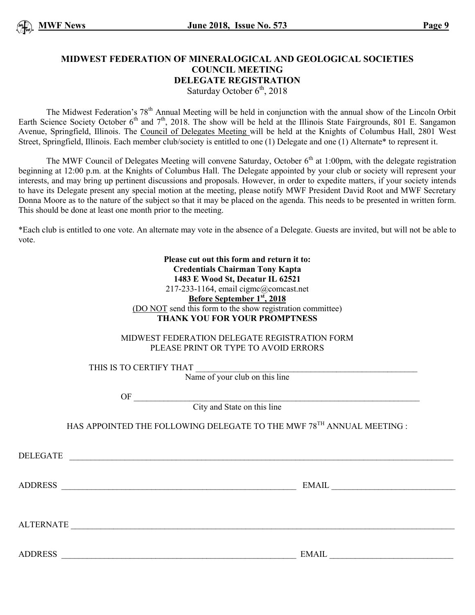#### **MIDWEST FEDERATION OF MINERALOGICAL AND GEOLOGICAL SOCIETIES COUNCIL MEETING DELEGATE REGISTRATION** Saturday October  $6<sup>th</sup>$ , 2018

The Midwest Federation's 78<sup>th</sup> Annual Meeting will be held in conjunction with the annual show of the Lincoln Orbit Earth Science Society October  $6<sup>th</sup>$  and  $7<sup>th</sup>$ , 2018. The show will be held at the Illinois State Fairgrounds, 801 E. Sangamon Avenue, Springfield, Illinois. The Council of Delegates Meeting will be held at the Knights of Columbus Hall, 2801 West Street, Springfield, Illinois. Each member club/society is entitled to one (1) Delegate and one (1) Alternate\* to represent it.

The MWF Council of Delegates Meeting will convene Saturday, October  $6<sup>th</sup>$  at 1:00pm, with the delegate registration beginning at 12:00 p.m. at the Knights of Columbus Hall. The Delegate appointed by your club or society will represent your interests, and may bring up pertinent discussions and proposals. However, in order to expedite matters, if your society intends to have its Delegate present any special motion at the meeting, please notify MWF President David Root and MWF Secretary Donna Moore as to the nature of the subject so that it may be placed on the agenda. This needs to be presented in written form. This should be done at least one month prior to the meeting.

\*Each club is entitled to one vote. An alternate may vote in the absence of a Delegate. Guests are invited, but will not be able to vote.

> **Please cut out this form and return it to: Credentials Chairman Tony Kapta 1483 E Wood St, Decatur IL 62521** 217-233-1164, email [cigmc@comcast.net](mailto:cigmc@comcast.net) **Before September 1st, 2018** (DO NOT send this form to the show registration committee) **THANK YOU FOR YOUR PROMPTNESS**

MIDWEST FEDERATION DELEGATE REGISTRATION FORM PLEASE PRINT OR TYPE TO AVOID ERRORS

THIS IS TO CERTIFY THAT

Name of your club on this line

 $\overline{\text{OF}}$ 

City and State on this line

HAS APPOINTED THE FOLLOWING DELEGATE TO THE MWF 78TH ANNUAL MEETING :

DELEGATE \_\_\_\_\_\_\_\_\_\_\_\_\_\_\_\_\_\_\_\_\_\_\_\_\_\_\_\_\_\_\_\_\_\_\_\_\_\_\_\_\_\_\_\_\_\_\_\_\_\_\_\_\_\_\_\_\_\_\_\_\_\_\_\_\_\_\_\_\_\_\_\_\_\_\_\_\_\_\_\_\_\_\_\_\_\_\_\_\_\_

ADDRESS \_\_\_\_\_\_\_\_\_\_\_\_\_\_\_\_\_\_\_\_\_\_\_\_\_\_\_\_\_\_\_\_\_\_\_\_\_\_\_\_\_\_\_\_\_\_\_\_\_\_\_\_\_\_\_ EMAIL \_\_\_\_\_\_\_\_\_\_\_\_\_\_\_\_\_\_\_\_\_\_\_\_\_\_\_\_\_

ALTERNATE \_\_\_\_\_\_\_\_\_\_\_\_\_\_\_\_\_\_\_\_\_\_\_\_\_\_\_\_\_\_\_\_\_\_\_\_\_\_\_\_\_\_\_\_\_\_\_\_\_\_\_\_\_\_\_\_\_\_\_\_\_\_\_\_\_\_\_\_\_\_\_\_\_\_\_\_\_\_\_\_\_\_\_\_\_\_\_\_\_\_

ADDRESS EMAIL EMAIL EMAIL AND RESOLUTION OF THE SERVICE SERVICE SERVICE SERVICE SERVICE SERVICE SERVICE SERVICE SERVICE SERVICE SERVICE SERVICE SERVICE SERVICE SERVICE SERVICE SERVICE SERVICE SERVICE SERVICE SERVICE SERVIC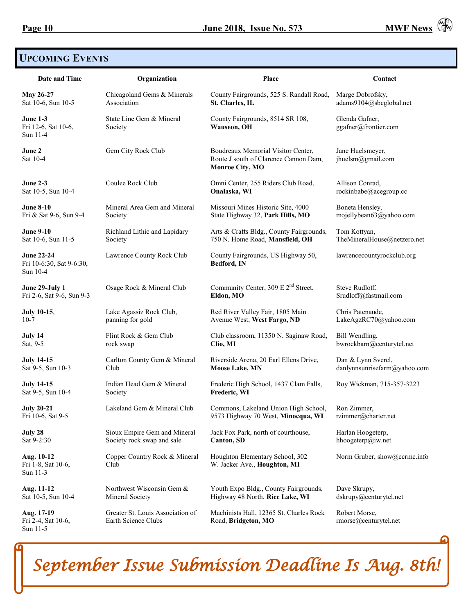

# **UPCOMING EVENTS**

| Date and Time                                             | Organization                                            | Place                                                                                                 | Contact                                |
|-----------------------------------------------------------|---------------------------------------------------------|-------------------------------------------------------------------------------------------------------|----------------------------------------|
| May 26-27                                                 | Chicagoland Gems & Minerals                             | County Fairgrounds, 525 S. Randall Road,                                                              | Marge Dobrofsky,                       |
| Sat 10-6, Sun 10-5                                        | Association                                             | St. Charles, IL                                                                                       | adams9104@sbcglobal.net                |
| <b>June 1-3</b><br>Fri 12-6, Sat 10-6,<br>Sun 11-4        | State Line Gem & Mineral<br>Society                     | County Fairgrounds, 8514 SR 108,<br>Wauseon, OH                                                       | Glenda Gafner,<br>ggafner@frontier.com |
| June 2<br>Sat 10-4                                        | Gem City Rock Club                                      | Boudreaux Memorial Visitor Center,<br>Route J south of Clarence Cannon Dam,<br><b>Monroe City, MO</b> | Jane Huelsmeyer,<br>jhuelsm@gmail.com  |
| <b>June 2-3</b>                                           | Coulee Rock Club                                        | Omni Center, 255 Riders Club Road,                                                                    | Allison Conrad,                        |
| Sat 10-5, Sun 10-4                                        |                                                         | Onalaska, WI                                                                                          | rockinbabe@acegroup.cc                 |
| <b>June 8-10</b>                                          | Mineral Area Gem and Mineral                            | Missouri Mines Historic Site, 4000                                                                    | Boneta Hensley,                        |
| Fri & Sat 9-6, Sun 9-4                                    | Society                                                 | State Highway 32, Park Hills, MO                                                                      | mojellybean63@yahoo.com                |
| <b>June 9-10</b>                                          | Richland Lithic and Lapidary                            | Arts & Crafts Bldg., County Fairgrounds,                                                              | Tom Kottyan,                           |
| Sat 10-6, Sun 11-5                                        | Society                                                 | 750 N. Home Road, Mansfield, OH                                                                       | TheMineralHouse@netzero.net            |
| <b>June 22-24</b><br>Fri 10-6:30, Sat 9-6:30,<br>Sun 10-4 | Lawrence County Rock Club                               | County Fairgrounds, US Highway 50,<br>Bedford, IN                                                     | lawrencecountyrockclub.org             |
| June 29-July 1                                            | Osage Rock & Mineral Club                               | Community Center, 309 E $2nd$ Street,                                                                 | Steve Rudloff,                         |
| Fri 2-6, Sat 9-6, Sun 9-3                                 |                                                         | Eldon, MO                                                                                             | Srudloff@fastmail.com                  |
| <b>July 10-15,</b>                                        | Lake Agassiz Rock Club,                                 | Red River Valley Fair, 1805 Main                                                                      | Chris Patenaude,                       |
| $10-7$                                                    | panning for gold                                        | Avenue West, West Fargo, ND                                                                           | LakeAgzRC70@yahoo.com                  |
| July 14                                                   | Flint Rock & Gem Club                                   | Club classroom, 11350 N. Saginaw Road,                                                                | Bill Wendling,                         |
| Sat, 9-5                                                  | rock swap                                               | Clio, MI                                                                                              | bwrockbarn@centurytel.net              |
| <b>July 14-15</b>                                         | Carlton County Gem & Mineral                            | Riverside Arena, 20 Earl Ellens Drive,                                                                | Dan & Lynn Svercl,                     |
| Sat 9-5, Sun 10-3                                         | Club                                                    | <b>Moose Lake, MN</b>                                                                                 | danlynnsunrisefarm@yahoo.com           |
| <b>July 14-15</b>                                         | Indian Head Gem & Mineral                               | Frederic High School, 1437 Clam Falls,                                                                | Roy Wickman, 715-357-3223              |
| Sat 9-5, Sun 10-4                                         | Society                                                 | Frederic, WI                                                                                          |                                        |
| <b>July 20-21</b>                                         | Lakeland Gem & Mineral Club                             | Commons, Lakeland Union High School,                                                                  | Ron Zimmer,                            |
| Fri 10-6, Sat 9-5                                         |                                                         | 9573 Highway 70 West, Minocqua, WI                                                                    | rzimmer@charter.net                    |
| July 28                                                   | Sioux Empire Gem and Mineral                            | Jack Fox Park, north of courthouse,                                                                   | Harlan Hoogeterp,                      |
| Sat 9-2:30                                                | Society rock swap and sale                              | <b>Canton, SD</b>                                                                                     | hhoogeterp@iw.net                      |
| Aug. 10-12<br>Fri 1-8, Sat 10-6,<br>Sun 11-3              | Copper Country Rock & Mineral<br>Club                   | Houghton Elementary School, 302<br>W. Jacker Ave., Houghton, MI                                       | Norm Gruber, show@ccrmc.info           |
| Aug. 11-12                                                | Northwest Wisconsin Gem &                               | Youth Expo Bldg., County Fairgrounds,                                                                 | Dave Skrupy,                           |
| Sat 10-5, Sun 10-4                                        | Mineral Society                                         | Highway 48 North, Rice Lake, WI                                                                       | dskrupy@centurytel.net                 |
| Aug. 17-19<br>Fri 2-4, Sat 10-6,<br>Sun 11-5              | Greater St. Louis Association of<br>Earth Science Clubs | Machinists Hall, 12365 St. Charles Rock<br>Road, Bridgeton, MO                                        | Robert Morse,<br>rmorse@centurytel.net |

*September Issue Submission Deadline Is Aug. 8th!*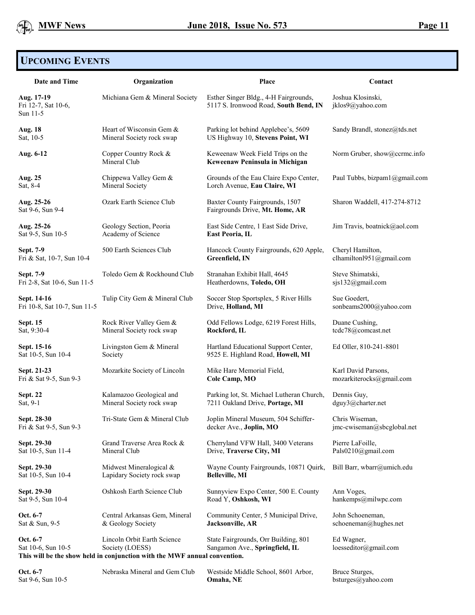# **UPCOMING EVENTS**

| Date and Time                                 | Organization                                                                                                                | Place                                                                          | Contact                               |
|-----------------------------------------------|-----------------------------------------------------------------------------------------------------------------------------|--------------------------------------------------------------------------------|---------------------------------------|
| Aug. 17-19<br>Fri 12-7, Sat 10-6,<br>Sun 11-5 | Michiana Gem & Mineral Society                                                                                              | Esther Singer Bldg., 4-H Fairgrounds,<br>5117 S. Ironwood Road, South Bend, IN | Joshua Klosinski,<br>jklos9@yahoo.com |
| <b>Aug. 18</b>                                | Heart of Wisconsin Gem &                                                                                                    | Parking lot behind Applebee's, 5609                                            | Sandy Brandl, stonez@tds.net          |
| Sat, 10-5                                     | Mineral Society rock swap                                                                                                   | US Highway 10, Stevens Point, WI                                               |                                       |
| Aug. 6-12                                     | Copper Country Rock &<br>Mineral Club                                                                                       | Keweenaw Week Field Trips on the<br>Keweenaw Peninsula in Michigan             | Norm Gruber, show@ccrmc.info          |
| Aug. 25                                       | Chippewa Valley Gem &                                                                                                       | Grounds of the Eau Claire Expo Center,                                         | Paul Tubbs, bizpam1@gmail.com         |
| Sat, 8-4                                      | Mineral Society                                                                                                             | Lorch Avenue, Eau Claire, WI                                                   |                                       |
| Aug. 25-26<br>Sat 9-6, Sun 9-4                | Ozark Earth Science Club                                                                                                    | Baxter County Fairgrounds, 1507<br>Fairgrounds Drive, Mt. Home, AR             | Sharon Waddell, 417-274-8712          |
| Aug. 25-26                                    | Geology Section, Peoria                                                                                                     | East Side Centre, 1 East Side Drive,                                           | Jim Travis, boatnick@aol.com          |
| Sat 9-5, Sun 10-5                             | Academy of Science                                                                                                          | East Peoria, IL                                                                |                                       |
| Sept. 7-9                                     | 500 Earth Sciences Club                                                                                                     | Hancock County Fairgrounds, 620 Apple,                                         | Cheryl Hamilton,                      |
| Fri & Sat, 10-7, Sun 10-4                     |                                                                                                                             | Greenfield, IN                                                                 | clhamilton1951@gmail.com              |
| Sept. 7-9                                     | Toledo Gem & Rockhound Club                                                                                                 | Stranahan Exhibit Hall, 4645                                                   | Steve Shimatski,                      |
| Fri 2-8, Sat 10-6, Sun 11-5                   |                                                                                                                             | Heatherdowns, Toledo, OH                                                       | sjs132@gmail.com                      |
| Sept. 14-16                                   | Tulip City Gem & Mineral Club                                                                                               | Soccer Stop Sportsplex, 5 River Hills                                          | Sue Goedert,                          |
| Fri 10-8, Sat 10-7, Sun 11-5                  |                                                                                                                             | Drive, Holland, MI                                                             | sonbeams2000@yahoo.com                |
| <b>Sept. 15</b>                               | Rock River Valley Gem &                                                                                                     | Odd Fellows Lodge, 6219 Forest Hills,                                          | Duane Cushing,                        |
| Sat, 9:30-4                                   | Mineral Society rock swap                                                                                                   | Rockford, IL                                                                   | tede78@comeast.net                    |
| Sept. 15-16                                   | Livingston Gem & Mineral                                                                                                    | Hartland Educational Support Center,                                           | Ed Oller, 810-241-8801                |
| Sat 10-5, Sun 10-4                            | Society                                                                                                                     | 9525 E. Highland Road, Howell, MI                                              |                                       |
| Sept. 21-23                                   | Mozarkite Society of Lincoln                                                                                                | Mike Hare Memorial Field,                                                      | Karl David Parsons,                   |
| Fri & Sat 9-5, Sun 9-3                        |                                                                                                                             | Cole Camp, MO                                                                  | mozarkiterocks@gmail.com              |
| <b>Sept. 22</b>                               | Kalamazoo Geological and                                                                                                    | Parking lot, St. Michael Lutheran Church,                                      | Dennis Guy,                           |
| Sat, 9-1                                      | Mineral Society rock swap                                                                                                   | 7211 Oakland Drive, Portage, MI                                                | dguy3@charter.net                     |
| Sept. 28-30                                   | Tri-State Gem & Mineral Club                                                                                                | Joplin Mineral Museum, 504 Schiffer-                                           | Chris Wiseman,                        |
| Fri & Sat 9-5, Sun 9-3                        |                                                                                                                             | decker Ave., Joplin, MO                                                        | imc-cwiseman@sbcglobal.net            |
| Sept. 29-30                                   | Grand Traverse Area Rock &                                                                                                  | Cherryland VFW Hall, 3400 Veterans                                             | Pierre LaFoille,                      |
| Sat 10-5, Sun 11-4                            | Mineral Club                                                                                                                | Drive, Traverse City, MI                                                       | Pals0210@gmail.com                    |
| Sept. 29-30                                   | Midwest Mineralogical &                                                                                                     | Wayne County Fairgrounds, 10871 Quirk,                                         | Bill Barr, wbarr@umich.edu            |
| Sat 10-5, Sun 10-4                            | Lapidary Society rock swap                                                                                                  | <b>Belleville, MI</b>                                                          |                                       |
| Sept. 29-30                                   | Oshkosh Earth Science Club                                                                                                  | Sunnyview Expo Center, 500 E. County                                           | Ann Voges,                            |
| Sat 9-5, Sun 10-4                             |                                                                                                                             | Road Y, Oshkosh, WI                                                            | hankemps@milwpc.com                   |
| Oct. 6-7                                      | Central Arkansas Gem, Mineral                                                                                               | Community Center, 5 Municipal Drive,                                           | John Schoeneman,                      |
| Sat & Sun, 9-5                                | & Geology Society                                                                                                           | Jacksonville, AR                                                               | schoeneman@hughes.net                 |
| Oct. 6-7<br>Sat 10-6, Sun 10-5                | Lincoln Orbit Earth Science<br>Society (LOESS)<br>This will be the show held in conjunction with the MWF annual convention. | State Fairgrounds, Orr Building, 801<br>Sangamon Ave., Springfield, IL         | Ed Wagner,<br>loesseditor@gmail.com   |

| Oct. 6-7          | Nebraska Mineral and Gem Club | Westside Middle School, 8601 Arbor, | Bruce Sturges,     |
|-------------------|-------------------------------|-------------------------------------|--------------------|
| Sat 9-6, Sun 10-5 |                               | Omaha. NE                           | bsturges@yahoo.com |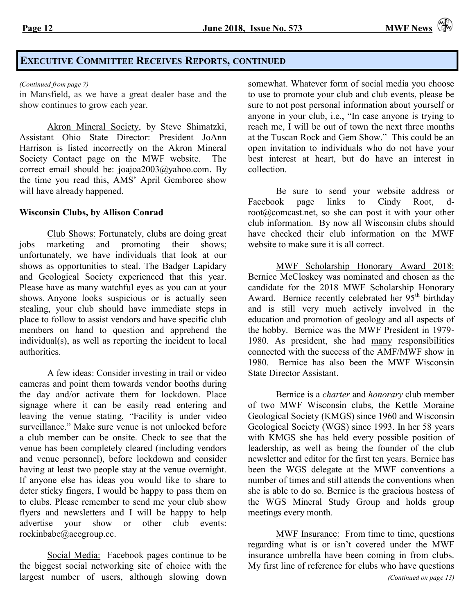# **EXECUTIVE COMMITTEE RECEIVES REPORTS, CONTINUED**

in Mansfield, as we have a great dealer base and the show continues to grow each year.

Akron Mineral Society, by Steve Shimatzki, Assistant Ohio State Director: President JoAnn Harrison is listed incorrectly on the Akron Mineral Society Contact page on the MWF website. The correct email should be: [joajoa2003@yahoo.com.](mailto:joajoa2003@yahoo.com) By the time you read this, AMS' April Gemboree show will have already happened.

#### **Wisconsin Clubs, by Allison Conrad**

Club Shows: Fortunately, clubs are doing great jobs marketing and promoting their shows; unfortunately, we have individuals that look at our shows as opportunities to steal. The Badger Lapidary and Geological Society experienced that this year. Please have as many watchful eyes as you can at your shows. Anyone looks suspicious or is actually seen stealing, your club should have immediate steps in place to follow to assist vendors and have specific club members on hand to question and apprehend the individual(s), as well as reporting the incident to local authorities.

A few ideas: Consider investing in trail or video cameras and point them towards vendor booths during the day and/or activate them for lockdown. Place signage where it can be easily read entering and leaving the venue stating, "Facility is under video surveillance." Make sure venue is not unlocked before a club member can be onsite. Check to see that the venue has been completely cleared (including vendors and venue personnel), before lockdown and consider having at least two people stay at the venue overnight. If anyone else has ideas you would like to share to deter sticky fingers, I would be happy to pass them on to clubs. Please remember to send me your club show flyers and newsletters and I will be happy to help advertise your show or other club events: [rockinbabe@acegroup.cc.](mailto:rockinbabe@acegroup.cc)

Social Media: Facebook pages continue to be the biggest social networking site of choice with the largest number of users, although slowing down

*(Continued from page 7)* somewhat. Whatever form of social media you choose to use to promote your club and club events, please be sure to not post personal information about yourself or anyone in your club, i.e., "In case anyone is trying to reach me, I will be out of town the next three months at the Tuscan Rock and Gem Show." This could be an open invitation to individuals who do not have your best interest at heart, but do have an interest in collection.

> Be sure to send your website address or Facebook page links to Cindy Root, [d](mailto:d-root@comcast.net)[root@comcast.net,](mailto:d-root@comcast.net) so she can post it with your other club information. By now all Wisconsin clubs should have checked their club information on the MWF website to make sure it is all correct.

> MWF Scholarship Honorary Award 2018: Bernice McCloskey was nominated and chosen as the candidate for the 2018 MWF Scholarship Honorary Award. Bernice recently celebrated her  $95<sup>th</sup>$  birthday and is still very much actively involved in the education and promotion of geology and all aspects of the hobby. Bernice was the MWF President in 1979- 1980. As president, she had many responsibilities connected with the success of the AMF/MWF show in 1980. Bernice has also been the MWF Wisconsin State Director Assistant.

> Bernice is a *charter* and *honorary* club member of two MWF Wisconsin clubs, the Kettle Moraine Geological Society (KMGS) since 1960 and Wisconsin Geological Society (WGS) since 1993. In her 58 years with KMGS she has held every possible position of leadership, as well as being the founder of the club newsletter and editor for the first ten years. Bernice has been the WGS delegate at the MWF conventions a number of times and still attends the conventions when she is able to do so. Bernice is the gracious hostess of the WGS Mineral Study Group and holds group meetings every month.

> MWF Insurance: From time to time, questions regarding what is or isn't covered under the MWF insurance umbrella have been coming in from clubs. My first line of reference for clubs who have questions *(Continued on page 13)*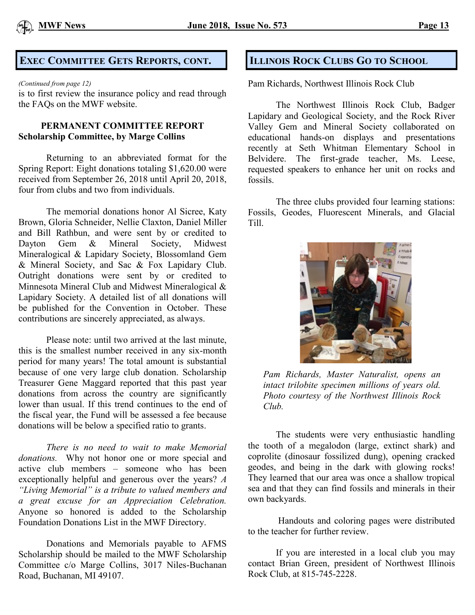

# **EXEC COMMITTEE GETS REPORTS, CONT. ILLINOIS ROCK CLUBS GO TO SCHOOL**

#### *(Continued from page 12)*

is to first review the insurance policy and read through the FAQs on the MWF website.

## **PERMANENT COMMITTEE REPORT Scholarship Committee, by Marge Collins**

Returning to an abbreviated format for the Spring Report: Eight donations totaling \$1,620.00 were received from September 26, 2018 until April 20, 2018, four from clubs and two from individuals.

The memorial donations honor Al Sicree, Katy Brown, Gloria Schneider, Nellie Claxton, Daniel Miller and Bill Rathbun, and were sent by or credited to Dayton Gem & Mineral Society, Midwest Mineralogical & Lapidary Society, Blossomland Gem & Mineral Society, and Sac & Fox Lapidary Club. Outright donations were sent by or credited to Minnesota Mineral Club and Midwest Mineralogical & Lapidary Society. A detailed list of all donations will be published for the Convention in October. These contributions are sincerely appreciated, as always.

Please note: until two arrived at the last minute, this is the smallest number received in any six-month period for many years! The total amount is substantial because of one very large club donation. Scholarship Treasurer Gene Maggard reported that this past year donations from across the country are significantly lower than usual. If this trend continues to the end of the fiscal year, the Fund will be assessed a fee because donations will be below a specified ratio to grants.

*There is no need to wait to make Memorial donations.* Why not honor one or more special and active club members – someone who has been exceptionally helpful and generous over the years? *A "Living Memorial" is a tribute to valued members and a great excuse for an Appreciation Celebration.* Anyone so honored is added to the Scholarship Foundation Donations List in the MWF Directory.

Donations and Memorials payable to AFMS Scholarship should be mailed to the MWF Scholarship Committee c/o Marge Collins, 3017 Niles-Buchanan Road, Buchanan, MI 49107.

Pam Richards, Northwest Illinois Rock Club

The Northwest Illinois Rock Club, Badger Lapidary and Geological Society, and the Rock River Valley Gem and Mineral Society collaborated on educational hands-on displays and presentations recently at Seth Whitman Elementary School in Belvidere. The first-grade teacher, Ms. Leese, requested speakers to enhance her unit on rocks and fossils.

The three clubs provided four learning stations: Fossils, Geodes, Fluorescent Minerals, and Glacial Till.



*Pam Richards, Master Naturalist, opens an intact trilobite specimen millions of years old. Photo courtesy of the Northwest Illinois Rock Club.* 

The students were very enthusiastic handling the tooth of a megalodon (large, extinct shark) and coprolite (dinosaur fossilized dung), opening cracked geodes, and being in the dark with glowing rocks! They learned that our area was once a shallow tropical sea and that they can find fossils and minerals in their own backyards.

Handouts and coloring pages were distributed to the teacher for further review.

If you are interested in a local club you may contact Brian Green, president of Northwest Illinois Rock Club, at 815-745-2228.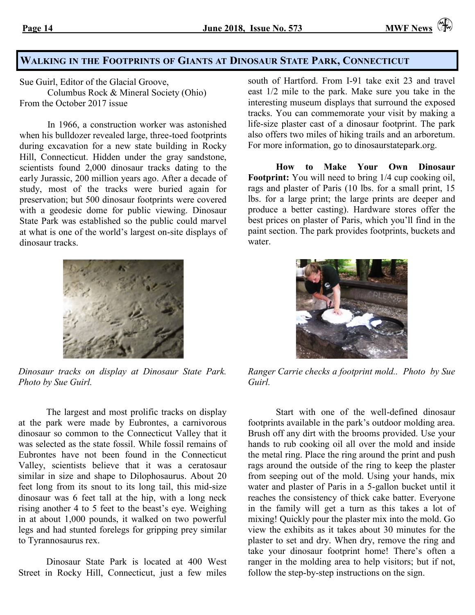# **WALKING IN THE FOOTPRINTS OF GIANTS AT DINOSAUR STATE PARK, CONNECTICUT**

Sue Guirl, Editor of the Glacial Groove,

Columbus Rock & Mineral Society (Ohio) From the October 2017 issue

In 1966, a construction worker was astonished when his bulldozer revealed large, three-toed footprints during excavation for a new state building in Rocky Hill, Connecticut. Hidden under the gray sandstone, scientists found 2,000 dinosaur tracks dating to the early Jurassic, 200 million years ago. After a decade of study, most of the tracks were buried again for preservation; but 500 dinosaur footprints were covered with a geodesic dome for public viewing. Dinosaur State Park was established so the public could marvel at what is one of the world's largest on-site displays of dinosaur tracks.



*Dinosaur tracks on display at Dinosaur State Park. Photo by Sue Guirl.*

The largest and most prolific tracks on display at the park were made by Eubrontes, a carnivorous dinosaur so common to the Connecticut Valley that it was selected as the state fossil. While fossil remains of Eubrontes have not been found in the Connecticut Valley, scientists believe that it was a ceratosaur similar in size and shape to Dilophosaurus. About 20 feet long from its snout to its long tail, this mid-size dinosaur was 6 feet tall at the hip, with a long neck rising another 4 to 5 feet to the beast's eye. Weighing in at about 1,000 pounds, it walked on two powerful legs and had stunted forelegs for gripping prey similar to Tyrannosaurus rex.

Dinosaur State Park is located at 400 West Street in Rocky Hill, Connecticut, just a few miles

south of Hartford. From I-91 take exit 23 and travel east 1/2 mile to the park. Make sure you take in the interesting museum displays that surround the exposed tracks. You can commemorate your visit by making a life-size plaster cast of a dinosaur footprint. The park also offers two miles of hiking trails and an arboretum. For more information, go to dinosaurstatepark.org.

**How to Make Your Own Dinosaur Footprint:** You will need to bring 1/4 cup cooking oil, rags and plaster of Paris (10 lbs. for a small print, 15 lbs. for a large print; the large prints are deeper and produce a better casting). Hardware stores offer the best prices on plaster of Paris, which you'll find in the paint section. The park provides footprints, buckets and water



*Ranger Carrie checks a footprint mold.. Photo by Sue Guirl.*

Start with one of the well-defined dinosaur footprints available in the park's outdoor molding area. Brush off any dirt with the brooms provided. Use your hands to rub cooking oil all over the mold and inside the metal ring. Place the ring around the print and push rags around the outside of the ring to keep the plaster from seeping out of the mold. Using your hands, mix water and plaster of Paris in a 5-gallon bucket until it reaches the consistency of thick cake batter. Everyone in the family will get a turn as this takes a lot of mixing! Quickly pour the plaster mix into the mold. Go view the exhibits as it takes about 30 minutes for the plaster to set and dry. When dry, remove the ring and take your dinosaur footprint home! There's often a ranger in the molding area to help visitors; but if not, follow the step-by-step instructions on the sign.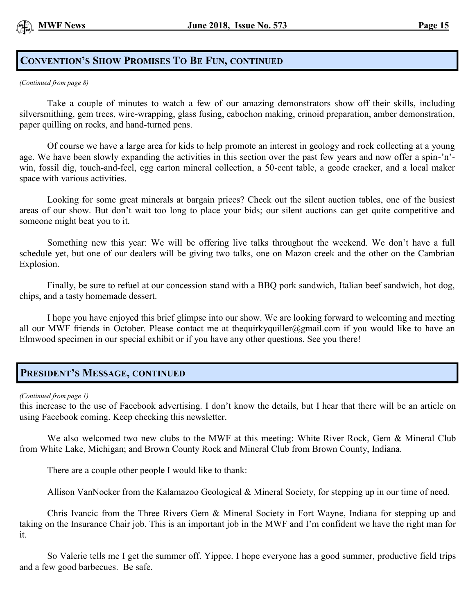# **CONVENTION'S SHOW PROMISES TO BE FUN, CONTINUED**

*(Continued from page 8)*

Take a couple of minutes to watch a few of our amazing demonstrators show off their skills, including silversmithing, gem trees, wire-wrapping, glass fusing, cabochon making, crinoid preparation, amber demonstration, paper quilling on rocks, and hand-turned pens.

Of course we have a large area for kids to help promote an interest in geology and rock collecting at a young age. We have been slowly expanding the activities in this section over the past few years and now offer a spin-'n' win, fossil dig, touch-and-feel, egg carton mineral collection, a 50-cent table, a geode cracker, and a local maker space with various activities.

Looking for some great minerals at bargain prices? Check out the silent auction tables, one of the busiest areas of our show. But don't wait too long to place your bids; our silent auctions can get quite competitive and someone might beat you to it.

Something new this year: We will be offering live talks throughout the weekend. We don't have a full schedule yet, but one of our dealers will be giving two talks, one on Mazon creek and the other on the Cambrian Explosion.

Finally, be sure to refuel at our concession stand with a BBQ pork sandwich, Italian beef sandwich, hot dog, chips, and a tasty homemade dessert.

I hope you have enjoyed this brief glimpse into our show. We are looking forward to welcoming and meeting all our MWF friends in October. Please contact me at [thequirkyquiller@gmail.com](mailto:thequirkyquiller@gmail.com) if you would like to have an Elmwood specimen in our special exhibit or if you have any other questions. See you there!

# **PRESIDENT'S MESSAGE, CONTINUED**

*(Continued from page 1)*

this increase to the use of Facebook advertising. I don't know the details, but I hear that there will be an article on using Facebook coming. Keep checking this newsletter.

We also welcomed two new clubs to the MWF at this meeting: White River Rock, Gem & Mineral Club from White Lake, Michigan; and Brown County Rock and Mineral Club from Brown County, Indiana.

There are a couple other people I would like to thank:

Allison VanNocker from the Kalamazoo Geological & Mineral Society, for stepping up in our time of need.

Chris Ivancic from the Three Rivers Gem & Mineral Society in Fort Wayne, Indiana for stepping up and taking on the Insurance Chair job. This is an important job in the MWF and I'm confident we have the right man for it.

So Valerie tells me I get the summer off. Yippee. I hope everyone has a good summer, productive field trips and a few good barbecues. Be safe.